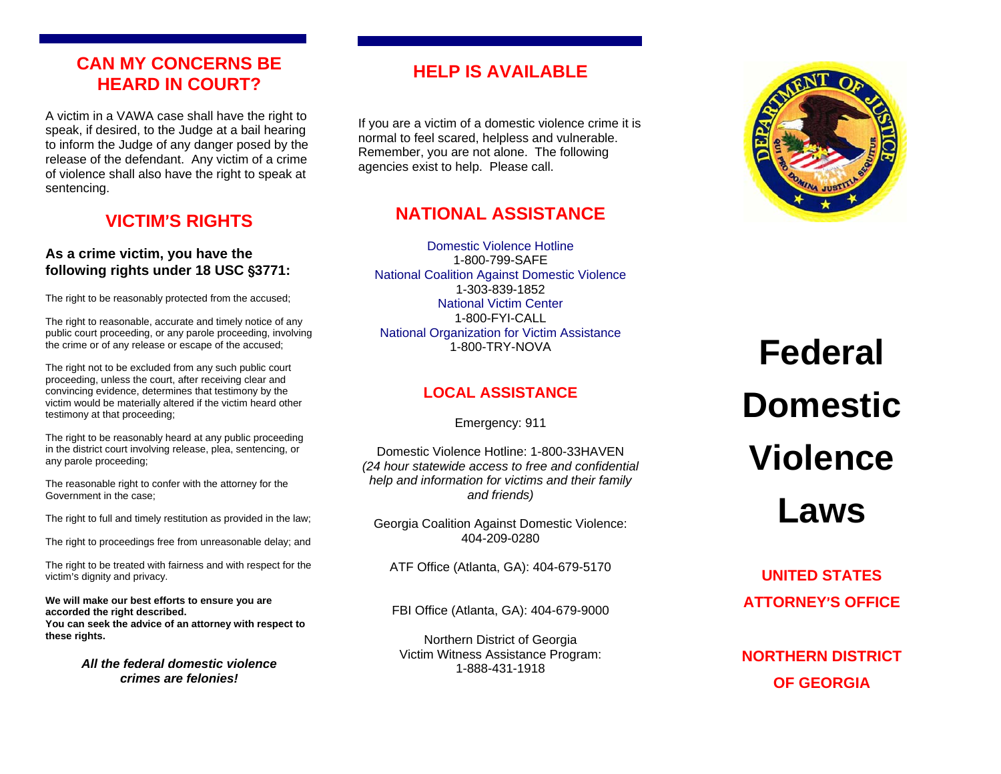## **CAN MY CONCERNS BE HEARD IN COURT?**

A victim in a VAWA case shall have the right to speak, if desired, to the Judge at a bail hearing to inform the Judge of any danger posed by the release of the defendant. Any victim of a crime of violence shall also have the right to speak at sentencing.

# **VICTIM**=**S RIGHTS**

#### **As a crime victim, you have the following rights under 18 USC**  '**3771:**

The right to be reasonably protected from the accused;

The right to reasonable, accurate and timely notice of any public court proceeding, or any parole proceeding, involving the crime or of any release or escape of the accused;

The right not to be excluded from any such public court proceeding, unless the court, after receiving clear and convincing evidence, determines that testimony by the victim would be materially altered if the victim heard other testimony at that proceeding;

The right to be reasonably heard at any public proceeding in the district court involving release, plea, sentencing, or any parole proceeding;

The reasonable right to confer with the attorney for the Government in the case;

The right to full and timely restitution as provided in the law;

The right to proceedings free from unreasonable delay; and

The right to be treated with fairness and with respect for the victim's dignity and privacy.

**We will make our best efforts to ensure you are accorded the right described. You can seek the advice of an attorney with respect to these rights.**

> *All the federal domestic violence crimes are felonies!*

# **HELP IS AVAILABLE**

If you are a victim of a domestic violence crime it is normal to feel scared, helpless and vulnerable. Remember, you are not alone. The following agencies exist to help. Please call.

# **NATIONAL ASSISTANCE**

Domestic Violence Hotline1-800-799-SAFE National Coalition Against Domestic Violence 1-303-839-1852 National Victim Center1-800-FYI-CALL National Organization for Victim Assistance 1-800-TRY-NOVA

## **LOCAL ASSISTANCE**

Emergency: 911

Domestic Violence Hotline: 1-800-33HAVEN *(24 hour statewide access to free and confidential help and information for victims and their family and friends)* 

Georgia Coalition Against Domestic Violence: 404-209-0280

ATF Office (Atlanta, GA): 404-679-5170

FBI Office (Atlanta, GA): 404-679-9000

Northern District of Georgia Victim Witness Assistance Program: 1-888-431-1918



# **Federal Domestic Violence Laws**

**UNITED STATES ATTORNEY**=**S OFFICE** 

**NORTHERN DISTRICT OF GEORGIA**